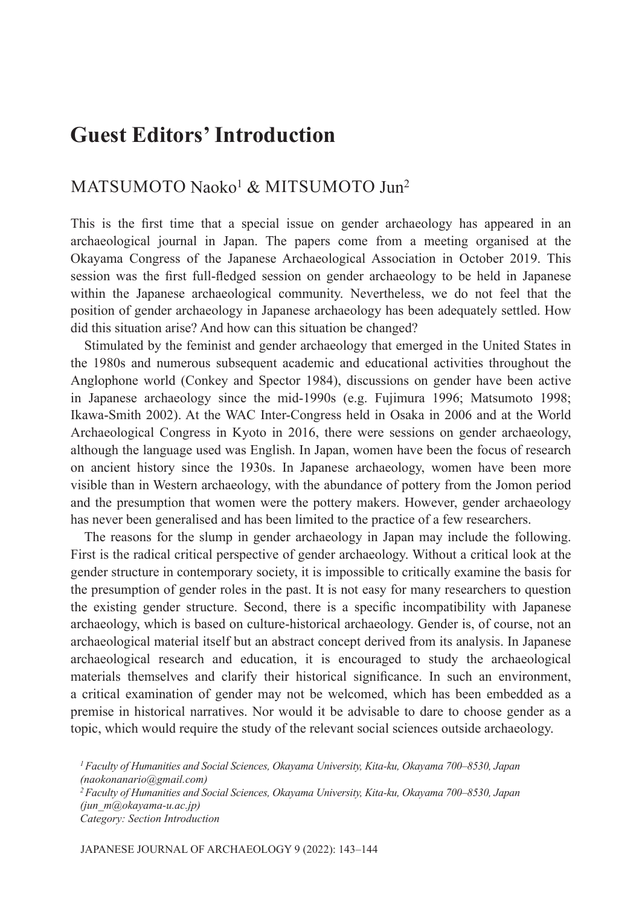## **Guest Editors' Introduction**

## MATSUMOTO Naoko1 & MITSUMOTO Jun2

This is the first time that a special issue on gender archaeology has appeared in an archaeological journal in Japan. The papers come from a meeting organised at the Okayama Congress of the Japanese Archaeological Association in October 2019. This session was the first full-fledged session on gender archaeology to be held in Japanese within the Japanese archaeological community. Nevertheless, we do not feel that the position of gender archaeology in Japanese archaeology has been adequately settled. How did this situation arise? And how can this situation be changed?

Stimulated by the feminist and gender archaeology that emerged in the United States in the 1980s and numerous subsequent academic and educational activities throughout the Anglophone world (Conkey and Spector 1984), discussions on gender have been active in Japanese archaeology since the mid-1990s (e.g. Fujimura 1996; Matsumoto 1998; Ikawa-Smith 2002). At the WAC Inter-Congress held in Osaka in 2006 and at the World Archaeological Congress in Kyoto in 2016, there were sessions on gender archaeology, although the language used was English. In Japan, women have been the focus of research on ancient history since the 1930s. In Japanese archaeology, women have been more visible than in Western archaeology, with the abundance of pottery from the Jomon period and the presumption that women were the pottery makers. However, gender archaeology has never been generalised and has been limited to the practice of a few researchers.

The reasons for the slump in gender archaeology in Japan may include the following. First is the radical critical perspective of gender archaeology. Without a critical look at the gender structure in contemporary society, it is impossible to critically examine the basis for the presumption of gender roles in the past. It is not easy for many researchers to question the existing gender structure. Second, there is a specific incompatibility with Japanese archaeology, which is based on culture-historical archaeology. Gender is, of course, not an archaeological material itself but an abstract concept derived from its analysis. In Japanese archaeological research and education, it is encouraged to study the archaeological materials themselves and clarify their historical significance. In such an environment, a critical examination of gender may not be welcomed, which has been embedded as a premise in historical narratives. Nor would it be advisable to dare to choose gender as a topic, which would require the study of the relevant social sciences outside archaeology.

*1Faculty of Humanities and Social Sciences, Okayama University, Kita-ku, Okayama 700–8530, Japan (naokonanario@gmail.com) 2Faculty of Humanities and Social Sciences, Okayama University, Kita-ku, Okayama 700–8530, Japan (jun\_m@okayama-u.ac.jp) Category: Section Introduction*